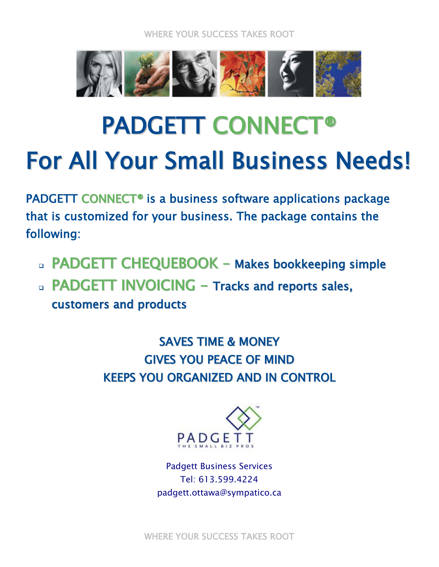WHERE YOUR SUCCESS TAKES ROOT



## PADGETT CONNECT® For All Your Small Business Needs!

PADGETT CONNECT® is a business software applications package that is customized for your business. The package contains the following:

- PADGETT CHEQUEBOOK Makes bookkeeping simple
- **PADGETT INVOICING Tracks and reports sales,** customers and products

SAVES TIME & MONEY GIVES YOU PEACE OF MIND KEEPS YOU ORGANIZED AND IN CONTROL



Padgett Business Services Tel: 613.599.4224 padgett.ottawa@sympatico.ca

WHERE YOUR SUCCESS TAKES ROOT